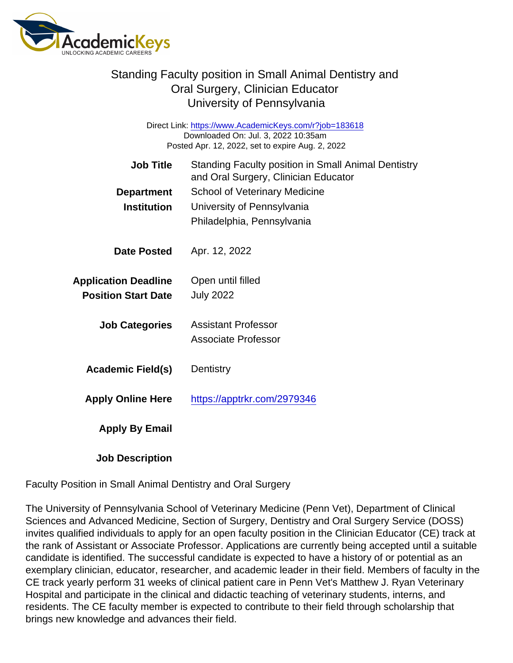| Standing Faculty position in Small Animal Dentistry and<br>Oral Surgery, Clinician Educator<br>University of Pennsylvania                         |                                                                                                    |
|---------------------------------------------------------------------------------------------------------------------------------------------------|----------------------------------------------------------------------------------------------------|
| Direct Link: https://www.AcademicKeys.com/r?job=183618<br>Downloaded On: Jul. 3, 2022 10:35am<br>Posted Apr. 12, 2022, set to expire Aug. 2, 2022 |                                                                                                    |
| <b>Job Title</b>                                                                                                                                  | <b>Standing Faculty position in Small Animal Dentistry</b><br>and Oral Surgery, Clinician Educator |
| Department                                                                                                                                        | <b>School of Veterinary Medicine</b>                                                               |
| Institution                                                                                                                                       | University of Pennsylvania                                                                         |
|                                                                                                                                                   | Philadelphia, Pennsylvania                                                                         |
| Date Posted<br><b>Application Deadline</b>                                                                                                        | Apr. 12, 2022<br>Open until filled                                                                 |
| <b>Position Start Date</b>                                                                                                                        | <b>July 2022</b>                                                                                   |
| <b>Job Categories</b>                                                                                                                             | <b>Assistant Professor</b><br><b>Associate Professor</b>                                           |
| Academic Field(s)                                                                                                                                 | Dentistry                                                                                          |
| <b>Apply Online Here</b>                                                                                                                          | https://apptrkr.com/2979346                                                                        |
| Apply By Email                                                                                                                                    |                                                                                                    |
| <b>Job Description</b>                                                                                                                            |                                                                                                    |

Faculty Position in Small Animal Dentistry and Oral Surgery

The University of Pennsylvania School of Veterinary Medicine (Penn Vet), Department of Clinical Sciences and Advanced Medicine, Section of Surgery, Dentistry and Oral Surgery Service (DOSS) invites qualified individuals to apply for an open faculty position in the Clinician Educator (CE) track at the rank of Assistant or Associate Professor. Applications are currently being accepted until a suitable candidate is identified. The successful candidate is expected to have a history of or potential as an exemplary clinician, educator, researcher, and academic leader in their field. Members of faculty in the CE track yearly perform 31 weeks of clinical patient care in Penn Vet's Matthew J. Ryan Veterinary Hospital and participate in the clinical and didactic teaching of veterinary students, interns, and residents. The CE faculty member is expected to contribute to their field through scholarship that brings new knowledge and advances their field.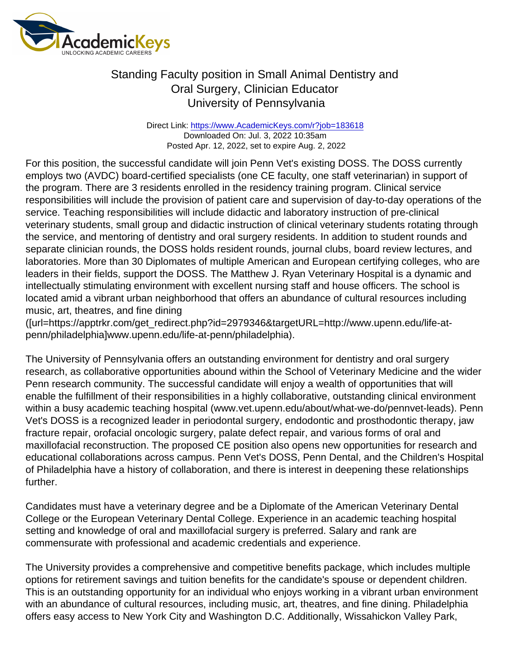## Standing Faculty position in Small Animal Dentistry and Oral Surgery, Clinician Educator University of Pennsylvania

Direct Link: <https://www.AcademicKeys.com/r?job=183618> Downloaded On: Jul. 3, 2022 10:35am Posted Apr. 12, 2022, set to expire Aug. 2, 2022

For this position, the successful candidate will join Penn Vet's existing DOSS. The DOSS currently employs two (AVDC) board-certified specialists (one CE faculty, one staff veterinarian) in support of the program. There are 3 residents enrolled in the residency training program. Clinical service responsibilities will include the provision of patient care and supervision of day-to-day operations of the service. Teaching responsibilities will include didactic and laboratory instruction of pre-clinical veterinary students, small group and didactic instruction of clinical veterinary students rotating through the service, and mentoring of dentistry and oral surgery residents. In addition to student rounds and separate clinician rounds, the DOSS holds resident rounds, journal clubs, board review lectures, and laboratories. More than 30 Diplomates of multiple American and European certifying colleges, who are leaders in their fields, support the DOSS. The Matthew J. Ryan Veterinary Hospital is a dynamic and intellectually stimulating environment with excellent nursing staff and house officers. The school is located amid a vibrant urban neighborhood that offers an abundance of cultural resources including music, art, theatres, and fine dining

([url=https://apptrkr.com/get\_redirect.php?id=2979346&targetURL=http://www.upenn.edu/life-atpenn/philadelphia]www.upenn.edu/life-at-penn/philadelphia).

The University of Pennsylvania offers an outstanding environment for dentistry and oral surgery research, as collaborative opportunities abound within the School of Veterinary Medicine and the wider Penn research community. The successful candidate will enjoy a wealth of opportunities that will enable the fulfillment of their responsibilities in a highly collaborative, outstanding clinical environment within a busy academic teaching hospital (www.vet.upenn.edu/about/what-we-do/pennvet-leads). Penn Vet's DOSS is a recognized leader in periodontal surgery, endodontic and prosthodontic therapy, jaw fracture repair, orofacial oncologic surgery, palate defect repair, and various forms of oral and maxillofacial reconstruction. The proposed CE position also opens new opportunities for research and educational collaborations across campus. Penn Vet's DOSS, Penn Dental, and the Children's Hospital of Philadelphia have a history of collaboration, and there is interest in deepening these relationships further.

Candidates must have a veterinary degree and be a Diplomate of the American Veterinary Dental College or the European Veterinary Dental College. Experience in an academic teaching hospital setting and knowledge of oral and maxillofacial surgery is preferred. Salary and rank are commensurate with professional and academic credentials and experience.

The University provides a comprehensive and competitive benefits package, which includes multiple options for retirement savings and tuition benefits for the candidate's spouse or dependent children. This is an outstanding opportunity for an individual who enjoys working in a vibrant urban environment with an abundance of cultural resources, including music, art, theatres, and fine dining. Philadelphia offers easy access to New York City and Washington D.C. Additionally, Wissahickon Valley Park,